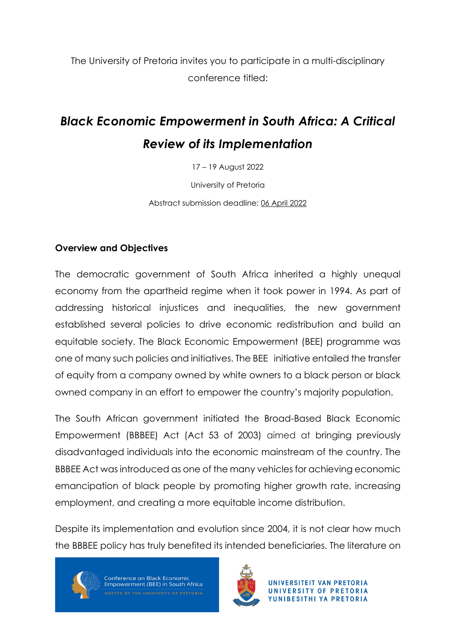The University of Pretoria invites you to participate in a multi-disciplinary conference titled:

# *Black Economic Empowerment in South Africa: A Critical Review of its Implementation*

17 – 19 August 2022

University of Pretoria

Abstract submission deadline: 06 April 2022

#### **Overview and Objectives**

The democratic government of South Africa inherited a highly unequal economy from the apartheid regime when it took power in 1994. As part of addressing historical injustices and inequalities, the new government established several policies to drive economic redistribution and build an equitable society. The Black Economic Empowerment (BEE) programme was one of many such policies and initiatives. The BEE initiative entailed the transfer of equity from a company owned by white owners to a black person or black owned company in an effort to empower the country's majority population.

The South African government initiated the Broad-Based Black Economic Empowerment (BBBEE) Act (Act 53 of 2003) aimed at bringing previously disadvantaged individuals into the economic mainstream of the country. The BBBEE Act was introduced as one of the many vehicles for achieving economic emancipation of black people by promoting higher growth rate, increasing employment, and creating a more equitable income distribution.

Despite its implementation and evolution since 2004, it is not clear how much the BBBEE policy has truly benefited its intended beneficiaries. The literature on



Conference on Black Economic Empowerment (BEE) in South Africa

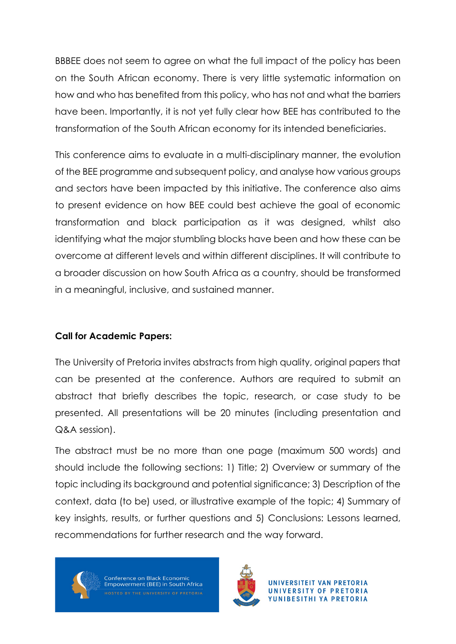BBBEE does not seem to agree on what the full impact of the policy has been on the South African economy. There is very little systematic information on how and who has benefited from this policy, who has not and what the barriers have been. Importantly, it is not yet fully clear how BEE has contributed to the transformation of the South African economy for its intended beneficiaries.

This conference aims to evaluate in a multi-disciplinary manner, the evolution of the BEE programme and subsequent policy, and analyse how various groups and sectors have been impacted by this initiative. The conference also aims to present evidence on how BEE could best achieve the goal of economic transformation and black participation as it was designed, whilst also identifying what the major stumbling blocks have been and how these can be overcome at different levels and within different disciplines. It will contribute to a broader discussion on how South Africa as a country, should be transformed in a meaningful, inclusive, and sustained manner.

## **Call for Academic Papers:**

The University of Pretoria invites abstracts from high quality, original papers that can be presented at the conference. Authors are required to submit an abstract that briefly describes the topic, research, or case study to be presented. All presentations will be 20 minutes (including presentation and Q&A session).

The abstract must be no more than one page (maximum 500 words) and should include the following sections: 1) Title; 2) Overview or summary of the topic including its background and potential significance; 3) Description of the context, data (to be) used, or illustrative example of the topic; 4) Summary of key insights, results, or further questions and 5) Conclusions: Lessons learned, recommendations for further research and the way forward.



Conference on Black Economic Empowerment (BEE) in South Africa

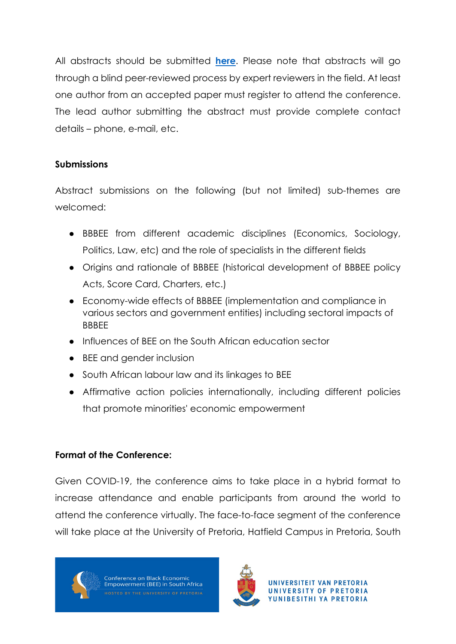All abstracts should be submitted **[here](https://docs.google.com/forms/d/1DAJSzXcBITEk9KOxve962g1HuvhFKBMHiCxdQJ4umhY/edit)**. Please note that abstracts will go through a blind peer-reviewed process by expert reviewers in the field. At least one author from an accepted paper must register to attend the conference. The lead author submitting the abstract must provide complete contact details – phone, e-mail, etc.

## **Submissions**

Abstract submissions on the following (but not limited) sub-themes are welcomed:

- BBBEE from different academic disciplines (Economics, Sociology, Politics, Law, etc) and the role of specialists in the different fields
- Origins and rationale of BBBEE (historical development of BBBEE policy Acts, Score Card, Charters, etc.)
- Economy-wide effects of BBBEE (implementation and compliance in various sectors and government entities) including sectoral impacts of BBBEE
- Influences of BEE on the South African education sector
- BEE and gender inclusion
- South African labour law and its linkages to BEE
- Affirmative action policies internationally, including different policies that promote minorities' economic empowerment

# **Format of the Conference:**

Given COVID-19, the conference aims to take place in a hybrid format to increase attendance and enable participants from around the world to attend the conference virtually. The face-to-face segment of the conference will take place at the University of Pretoria, Hatfield Campus in Pretoria, South